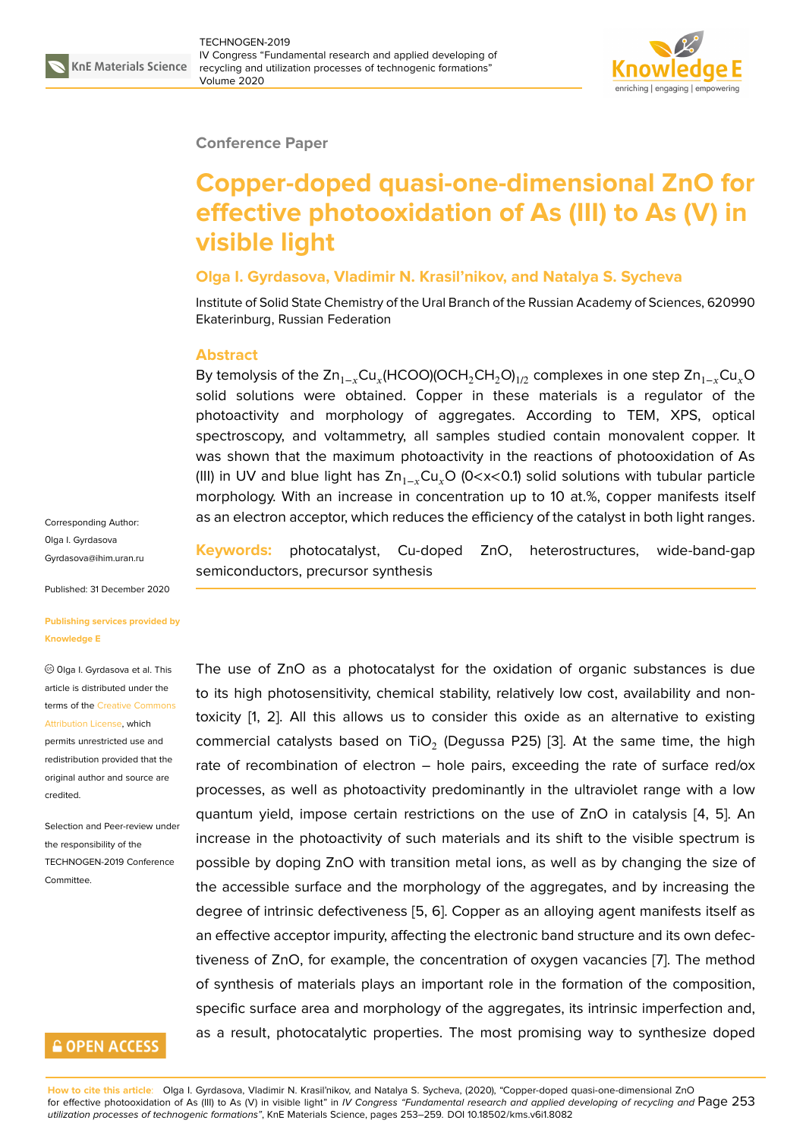

### **Conference Paper**

# **Copper-doped quasi-one-dimensional ZnO for effective photooxidation of As (III) to As (V) in visible light**

### **Olga I. Gyrdasova, Vladimir N. Krasil'nikov, and Natalya S. Sycheva**

Institute of Solid State Chemistry of the Ural Branch of the Russian Academy of Sciences, 620990 Ekaterinburg, Russian Federation

#### **Abstract**

By temolysis of the Zn $_{1-x}$ Cu $_x$ (HCOO)(OCH $_2$ CH $_2$ O) $_{1/2}$  complexes in one step Zn $_{1-x}$ Cu $_x$ O solid solutions were obtained. Сopper in these materials is a regulator of the photoactivity and morphology of aggregates. According to TEM, XPS, optical spectroscopy, and voltammetry, all samples studied contain monovalent copper. It was shown that the maximum photoactivity in the reactions of photooxidation of As (III) in UV and blue light has  $Zn_{1-r}Cu<sub>r</sub>O$  (0<x<0.1) solid solutions with tubular particle morphology. With an increase in concentration up to 10 at.%, сopper manifests itself as an electron acceptor, which reduces the efficiency of the catalyst in both light ranges.

Corresponding Author: Оlga I. Gyrdasova Gyrdasova@ihim.uran.ru

Published: 31 December 2020

#### **[Publishing services pro](mailto:Gyrdasova@ihim.uran.ru)vided by Knowledge E**

Оlga I. Gyrdasova et al. This article is distributed under the terms of the Creative Commons Attribution License, which

permits unrestricted use and redistribution provided that the original auth[or and source are](https://creativecommons.org/licenses/by/4.0/) [credited.](https://creativecommons.org/licenses/by/4.0/)

Selection and Peer-review under the responsibility of the TECHNOGEN-2019 Conference **Committee** 

### **GOPEN ACCESS**

**Keywords:** photocatalyst, Cu-doped ZnO, heterostructures, wide-band-gap semiconductors, precursor synthesis

The use of ZnO as a photocatalyst for the oxidation of organic substances is due to its high photosensitivity, chemical stability, relatively low cost, availability and nontoxicity [1, 2]. All this allows us to consider this oxide as an alternative to existing commercial catalysts based on TiO $_2$  (Degussa P25) [3]. At the same time, the high rate of recombination of electron – hole pairs, exceeding the rate of surface red/ox process[es](#page-5-0), [a](#page-6-0)s well as photoactivity predominantly in the ultraviolet range with a low quantum yield, impose certain restrictions on the us[e](#page-6-1) of ZnO in catalysis [4, 5]. An increase in the photoactivity of such materials and its shift to the visible spectrum is possible by doping ZnO with transition metal ions, as well as by changing the size of the accessible surface and the morphology of the aggregates, and by incre[as](#page-6-2)i[ng](#page-6-3) the degree of intrinsic defectiveness [5, 6]. Copper as an alloying agent manifests itself as an effective acceptor impurity, affecting the electronic band structure and its own defectiveness of ZnO, for example, the concentration of oxygen vacancies [7]. The method of synthesis of materials plays a[n i](#page-6-3)[mp](#page-6-4)ortant role in the formation of the composition, specific surface area and morphology of the aggregates, its intrinsic imperfection and, as a result, photocatalytic properties. The most promising way to sy[nt](#page-6-5)hesize doped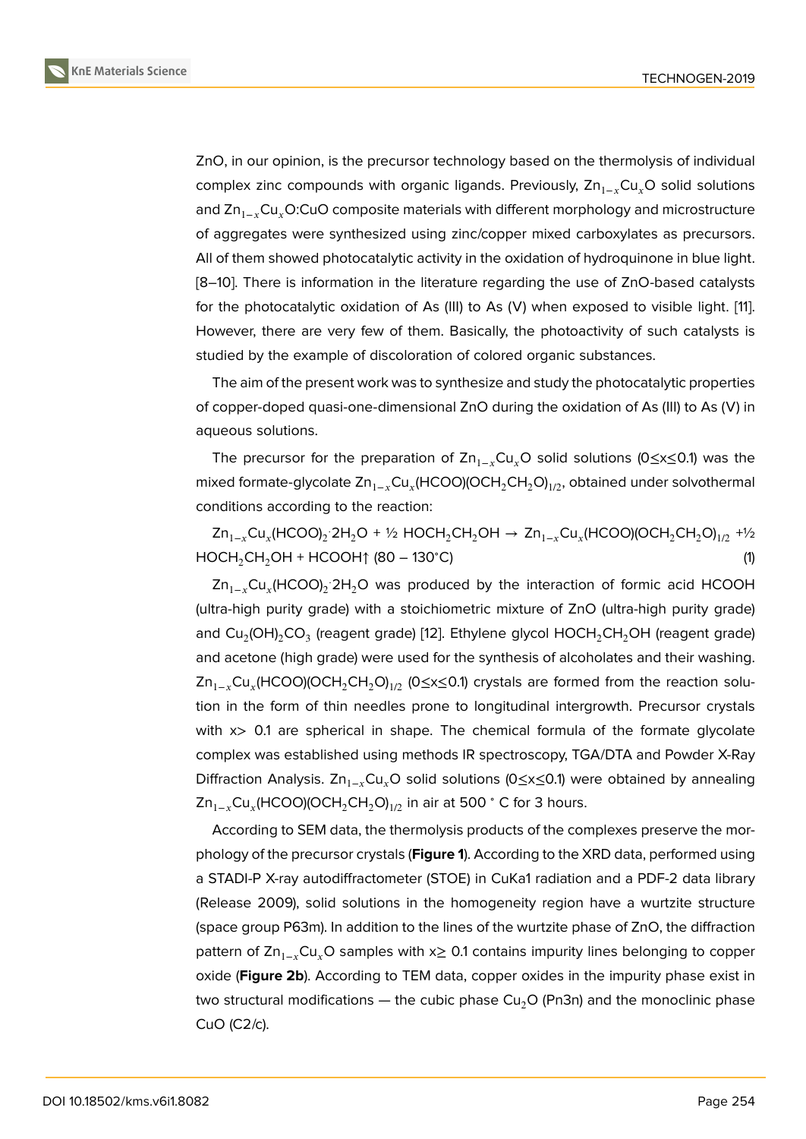ZnO, in our opinion, is the precursor technology based on the thermolysis of individual complex zinc compounds with organic ligands. Previously,  $\text{Zn}_{1-x}\text{Cu}_x\text{O}$  solid solutions and Zn<sub>1−v</sub>Cu<sub>v</sub>O:CuO composite materials with different morphology and microstructure of aggregates were synthesized using zinc/copper mixed carboxylates as precursors. All of them showed photocatalytic activity in the oxidation of hydroquinone in blue light. [8–10]. There is information in the literature regarding the use of ZnO-based catalysts for the photocatalytic oxidation of As (III) to As (V) when exposed to visible light. [11]. However, there are very few of them. Basically, the photoactivity of such catalysts is [stu](#page-6-6)[die](#page-6-7)d by the example of discoloration of colored organic substances.

The aim of the present work was to synthesize and study the photocatalytic propert[ie](#page-6-8)s of copper-doped quasi-one-dimensional ZnO during the oxidation of As (III) to As (V) in aqueous solutions.

The precursor for the preparation of  $Zn_{1-r}Cu$ <sub>r</sub>O solid solutions (0≤x≤0.1) was the mixed formate-glycolate Zn $_{1-x}$ Cu $_x$ (HCOO)(OCH $_2$ CH $_2$ O) $_{1/2}$ , obtained under solvothermal conditions according to the reaction:

 $\mathsf{Zn}_{1-x}\mathsf{Cu}_x(\mathsf{HCOO})_2\cdot$ 2H $_2\mathsf{O}$  + ½  $\mathsf{HOCH}_2\mathsf{CH}_2\mathsf{OH} \to \mathsf{Zn}_{1-x}\mathsf{Cu}_x(\mathsf{HCOO})(\mathsf{OCH}_2\mathsf{CH}_2\mathsf{O})_{1/2}$  +½  $HOCH<sub>2</sub>CH<sub>2</sub>OH + HCOOH<sup>†</sup>$  (80 – 130°C) (1)

Zn<sub>1−x</sub>Cu<sub>x</sub>(HCOO)<sub>2</sub>·2H<sub>2</sub>O was produced by the interaction of formic acid HCOOH (ultra-high purity grade) with a stoichiometric mixture of ZnO (ultra-high purity grade) and Cu $_2$ (OH) $_2$ CO $_3$  (reagent grade) [12]. Ethylene glycol HOCH $_2$ CH $_2$ OH (reagent grade) and acetone (high grade) were used for the synthesis of alcoholates and their washing. Zn<sub>1−x</sub>Cu<sub>x</sub>(HCOO)(OCH<sub>2</sub>CH<sub>2</sub>O)<sub>1/2</sub> (0≤x≤0.1) crystals are formed from the reaction solution in the form of thin needles p[ron](#page-6-9)e to longitudinal intergrowth. Precursor crystals with x> 0.1 are spherical in shape. The chemical formula of the formate glycolate complex was established using methods IR spectroscopy, TGA/DTA and Powder X-Ray Diffraction Analysis.  $\text{Zn}_{1-x}\text{Cu}_x\text{O}$  solid solutions (0≤x≤0.1) were obtained by annealing  $\mathsf{Zn}_{1-x}\mathsf{Cu}_x(\mathsf{HCOO})(\mathsf{OCH}_2\mathsf{CH}_2\mathsf{O})_{1/2}$  in air at 500  $^\circ$  C for 3 hours.

According to SEM data, the thermolysis products of the complexes preserve the morphology of the precursor crystals (**Figure 1**). According to the XRD data, performed using a STADI-P X-ray autodiffractometer (STOE) in CuKa1 radiation and a PDF-2 data library (Release 2009), solid solutions in the homogeneity region have a wurtzite structure (space group P63m). In addition to the lin[e](#page-2-0)s of the wurtzite phase of ZnO, the diffraction pattern of Zn<sub>1−x</sub>Cu<sub>x</sub>O samples with x $\geq$  0.1 contains impurity lines belonging to copper oxide (**Figure 2b**). According to TEM data, copper oxides in the impurity phase exist in two structural modifications — the cubic phase  $Cu<sub>2</sub>O$  (Pn3n) and the monoclinic phase CuO (C2/c).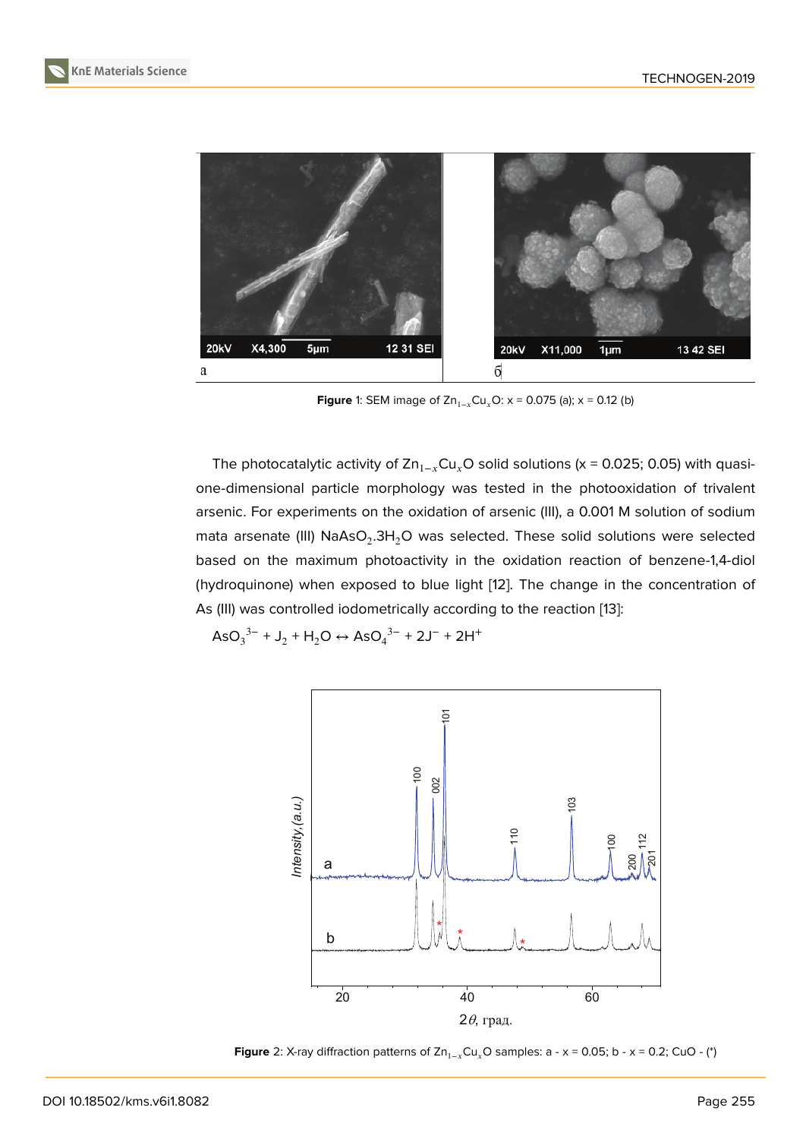

<span id="page-2-0"></span>**Figure** 1: SEM image of Zn<sub>1−x</sub>Cu<sub>x</sub>O: x = 0.075 (a); x = 0.12 (b)

The photocatalytic activity of  $\text{Zn}_{1-x}\text{Cu}_x\text{O}$  solid solutions (x = 0.025; 0.05) with quasione-dimensional particle morphology was tested in the photooxidation of trivalent arsenic. For experiments on the oxidation of arsenic (III), a 0.001 M solution of sodium mata arsenate (III)  $\mathsf{NaAsO}_2.3\mathsf{H}_2\mathsf{O}$  was selected. These solid solutions were selected based on the maximum photoactivity in the oxidation reaction of benzene-1,4-diol (hydroquinone) when exposed to blue light [12]. The change in the concentration of As (III) was controlled iodometrically according to the reaction [13]:

 $\text{AsO}_3^{3-} + \text{J}_2 + \text{H}_2\text{O} \leftrightarrow \text{AsO}_4^{3-} + 2\text{J}^- + 2\text{H}^+$ 



**Figure** 2: X-ray diffraction patterns of  $Zn_{1-x}Cu_xO$  samples: a - x = 0.05; b - x = 0.2; CuO - (\*)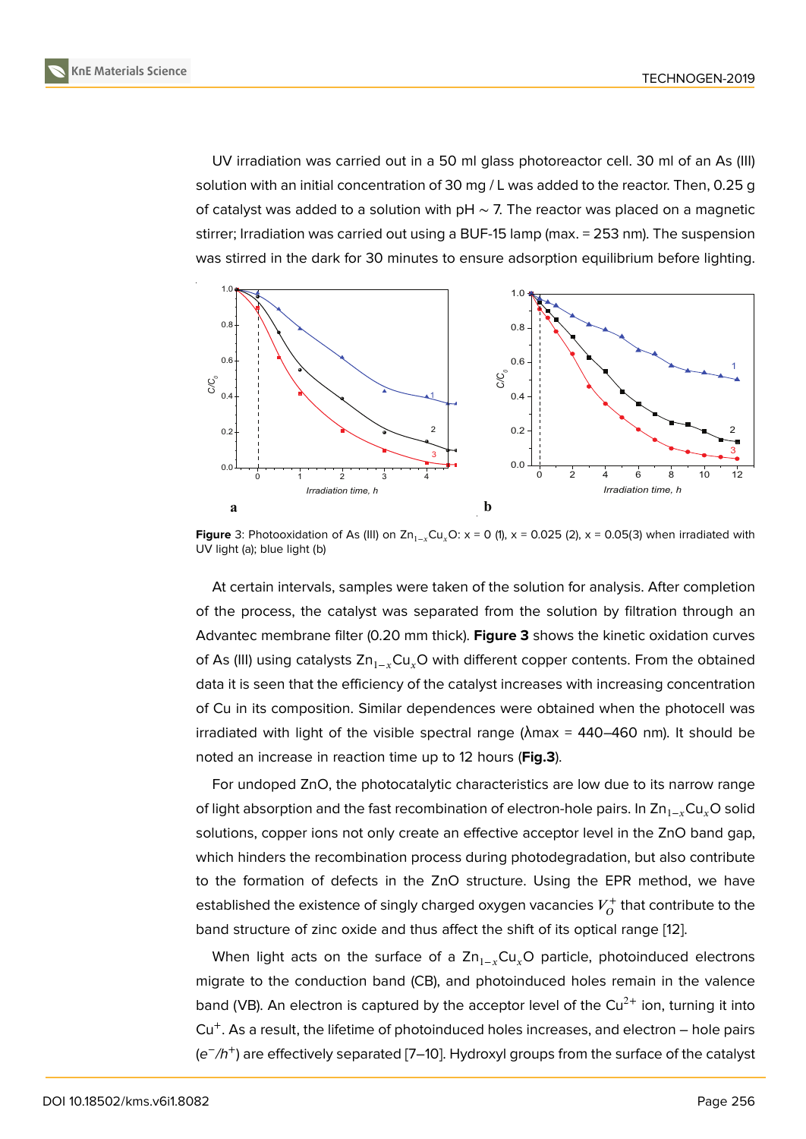UV irradiation was carried out in a 50 ml glass photoreactor cell. 30 ml of an As (III) solution with an initial concentration of 30 mg / L was added to the reactor. Then, 0.25 g of catalyst was added to a solution with pH  $\sim$  7. The reactor was placed on a magnetic stirrer; Irradiation was carried out using a BUF-15 lamp (max. = 253 nm). The suspension was stirred in the dark for 30 minutes to ensure adsorption equilibrium before lighting.



**Figure** 3: Photooxidation of As (III) on  $Zn_{1-x}Cu_xO: x = 0$  (1),  $x = 0.025$  (2),  $x = 0.05(3)$  when irradiated with UV light (a); blue light (b)

<span id="page-3-0"></span>At certain intervals, samples were taken of the solution for analysis. After completion of the process, the catalyst was separated from the solution by filtration through an Advantec membrane filter (0.20 mm thick). **Figure 3** shows the kinetic oxidation curves of As (III) using catalysts  $Zn_{1-x}Cu_xO$  with different copper contents. From the obtained data it is seen that the efficiency of the catalyst increases with increasing concentration of Cu in its composition. Similar dependences we[re](#page-3-0) obtained when the photocell was irradiated with light of the visible spectral range ( $\lambda$ max = 440–460 nm). It should be noted an increase in reaction time up to 12 hours (**Fig.3**).

For undoped ZnO, the photocatalytic characteristics are low due to its narrow range of light absorption and the fast recombination of electron-hole pairs. In  $\text{Zn}_{1-x}\text{Cu}_x\text{O}$  solid solutions, copper ions not only create an effective acceptor level in the ZnO band gap, which hinders the recombination process during photodegradation, but also contribute to the formation of defects in the ZnO structure. Using the EPR method, we have established the existence of singly charged oxygen vacancies  $V_O^+$  $\sigma_{O}^{\prime +}$  that contribute to the band structure of zinc oxide and thus affect the shift of its optical range [12].

When light acts on the surface of a  $Zn_{1-x}Cu_xO$  particle, photoinduced electrons migrate to the conduction band (CB), and photoinduced holes remain in the valence band (VB). An electron is captured by the acceptor level of the  $Cu^{2+}$  ion, [tu](#page-6-9)rning it into Cu<sup>+</sup>. As a result, the lifetime of photoinduced holes increases, and electron – hole pairs (*e* − */h*<sup>+</sup> ) are effectively separated [7–10]. Hydroxyl groups from the surface of the catalyst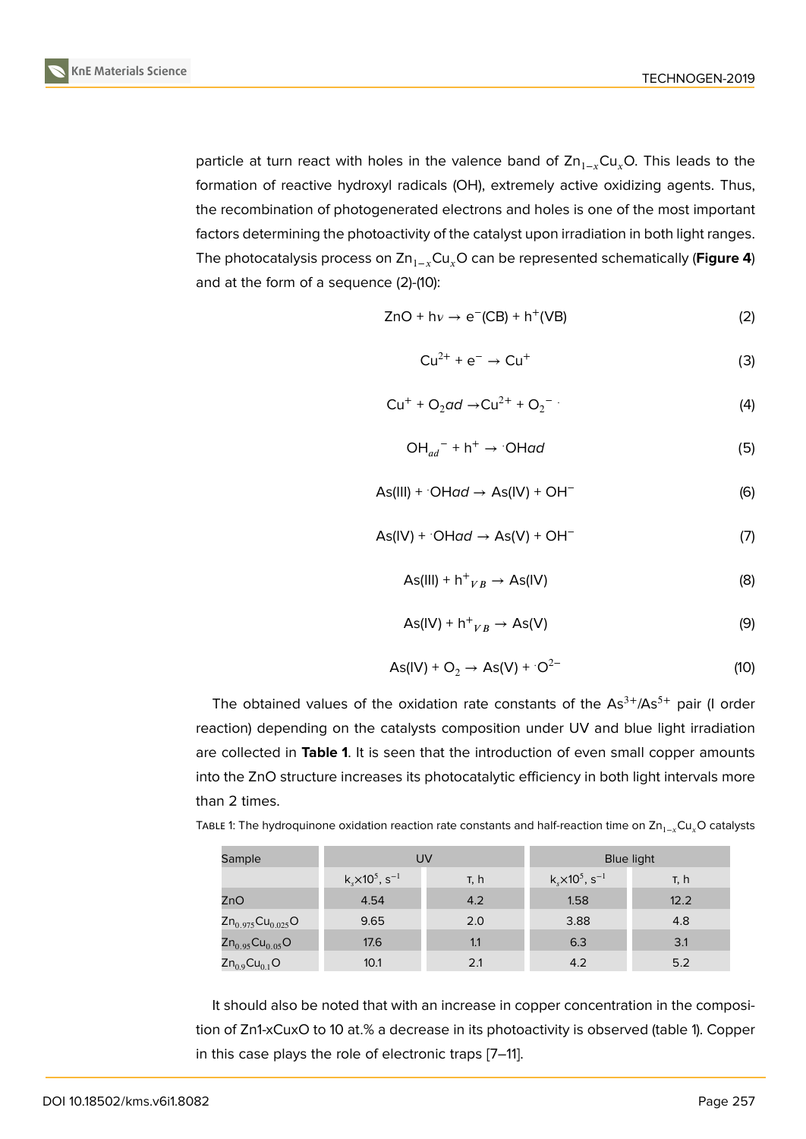particle at turn react with holes in the valence band of  $\text{Zn}_{1-x}\text{Cu}_x\text{O}$ . This leads to the formation of reactive hydroxyl radicals (OH), extremely active oxidizing agents. Thus, the recombination of photogenerated electrons and holes is one of the most important factors determining the photoactivity of the catalyst upon irradiation in both light ranges. The photocatalysis process on Zn<sub>1−x</sub>Cu<sub>x</sub>O can be represented schematically (**Figure 4**) and at the form of a sequence (2)-(10):

$$
ZnO + h\nu \rightarrow e^-(CB) + h^+(VB)
$$
 (2)

$$
Cu^{2+} + e^- \rightarrow Cu^+ \tag{3}
$$

$$
Cu^{+} + O_{2}ad \rightarrow Cu^{2+} + O_{2}^{-} \tag{4}
$$

$$
\mathrm{OH}_{ad}^- + \mathrm{h}^+ \rightarrow \mathrm{OHad} \tag{5}
$$

$$
As(III) + OHad \rightarrow As(IV) + OH-
$$
 (6)

$$
As(IV) + OHad \rightarrow As(V) + OH^-
$$
 (7)

$$
As(III) + h^{+}{}_{VB} \rightarrow As(IV)
$$
 (8)

$$
As(IV) + h^+{}_{VB} \rightarrow As(V)
$$
 (9)

$$
As(IV) + O2 \rightarrow As(V) + O2-
$$
 (10)

The obtained values of the oxidation rate constants of the  $As<sup>3+</sup>/As<sup>5+</sup>$  pair (I order reaction) depending on the catalysts composition under UV and blue light irradiation are collected in **Table 1**. It is seen that the introduction of even small copper amounts into the ZnO structure increases its photocatalytic efficiency in both light intervals more than 2 times.

TABLE 1: The hydroquinone oxidation reaction rate constants and half-reaction time on  $Zn_{1-x}Cu_xO$  catalysts

| Sample                  | UV                                        |      | <b>Blue light</b>                       |      |
|-------------------------|-------------------------------------------|------|-----------------------------------------|------|
|                         | $k_s$ × 10 <sup>5</sup> , s <sup>-1</sup> | т, h | $k_{s} \times 10^{5}$ , s <sup>-1</sup> | τ, h |
| ZnO                     | 4.54                                      | 4.2  | 1.58                                    | 12.2 |
| $Zn_{0.975}Cu_{0.025}O$ | 9.65                                      | 2.0  | 3.88                                    | 4.8  |
| $Zn_{0.95}Cu_{0.05}O$   | 17.6                                      | 1.1  | 6.3                                     | 3.1  |
| $Zn_{0.9}Cu_{0.1}O$     | 10.1                                      | 2.1  | 4.2                                     | 5.2  |

It should also be noted that with an increase in copper concentration in the composition of Zn1-xCuxO to 10 at.% a decrease in its photoactivity is observed (table 1). Copper in this case plays the role of electronic traps [7–11].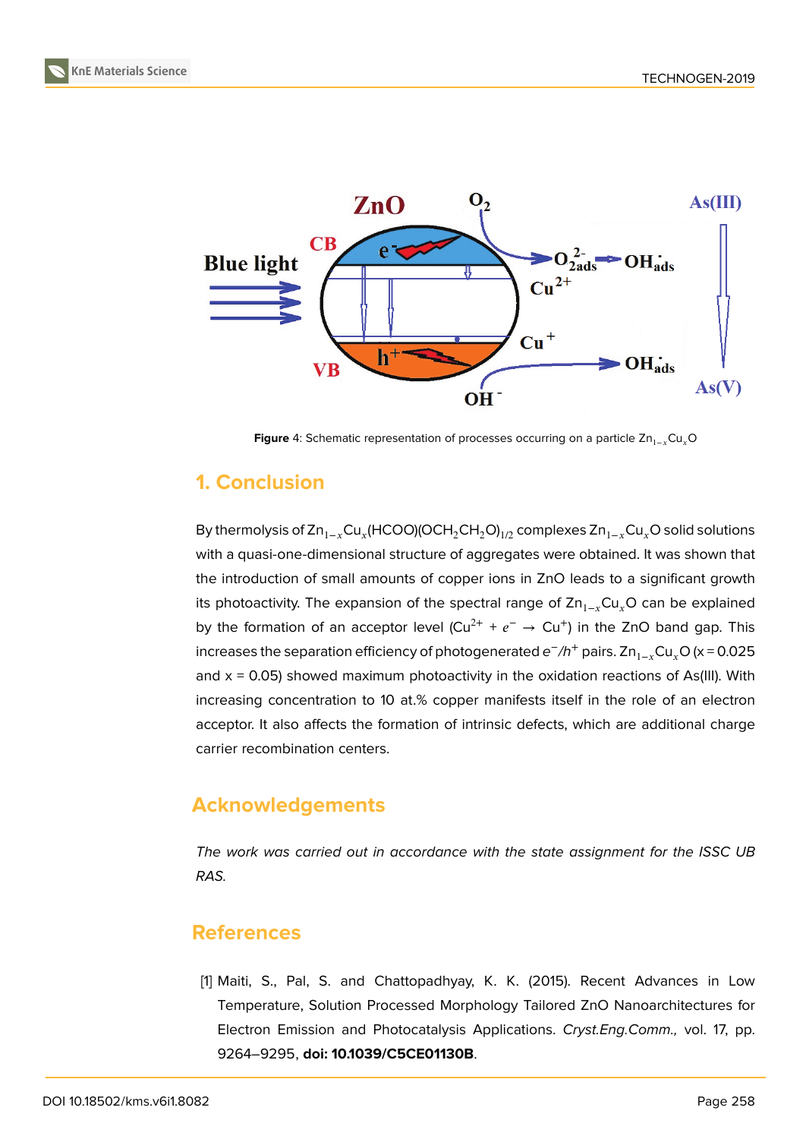

**Figure** 4: Schematic representation of processes occurring on a particle Zn<sub>1−y</sub>Cu<sub>y</sub>O

# <span id="page-5-1"></span>**1. Conclusion**

By thermolysis of Zn $_{1-x}$ Cu $_x$ (HCOO)(OCH $_2$ CH $_2$ O) $_{1/2}$  complexes Zn $_{1-x}$ Cu $_x$ O solid solutions with a quasi-one-dimensional structure of aggregates were obtained. It was shown that the introduction of small amounts of copper ions in ZnO leads to a significant growth its photoactivity. The expansion of the spectral range of  $\text{Zn}_{1-x}\text{Cu}_x\text{O}$  can be explained by the formation of an acceptor level (Cu<sup>2+</sup> +  $e^- \rightarrow$  Cu<sup>+</sup>) in the ZnO band gap. This increases the separation efficiency of photogenerated e<sup>−</sup>/h<sup>+</sup> pairs. Zn<sub>1−x</sub>Cu<sub>x</sub>O (x = 0.025 and  $x = 0.05$ ) showed maximum photoactivity in the oxidation reactions of As(III). With increasing concentration to 10 at.% copper manifests itself in the role of an electron acceptor. It also affects the formation of intrinsic defects, which are additional charge carrier recombination centers.

# **Acknowledgements**

*The work was carried out in accordance with the state assignment for the ISSC UB RAS.*

# **References**

<span id="page-5-0"></span>[1] Maiti, S., Pal, S. and Chattopadhyay, K. K. (2015). Recent Advances in Low Temperature, Solution Processed Morphology Tailored ZnO Nanoarchitectures for Electron Emission and Photocatalysis Applications. *Cryst.Eng.Comm.,* vol. 17, pp. 9264–9295, **doi: 10.1039/C5CE01130B**.